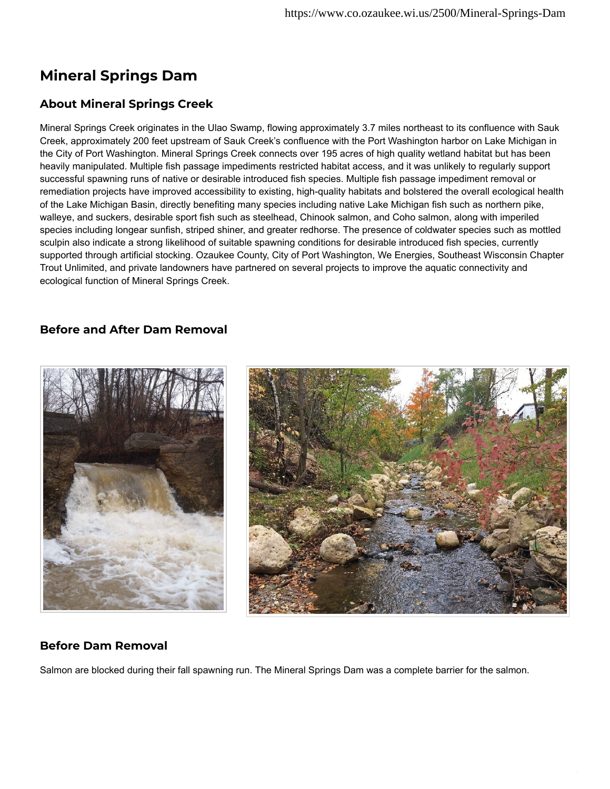## **Mineral Springs Dam**

## **About Mineral Springs Creek**

Mineral Springs Creek originates in the Ulao Swamp, flowing approximately 3.7 miles northeast to its confluence with Sauk Creek, approximately 200 feet upstream of Sauk Creek's confluence with the Port Washington harbor on Lake Michigan in the City of Port Washington. Mineral Springs Creek connects over 195 acres of high quality wetland habitat but has been heavily manipulated. Multiple fish passage impediments restricted habitat access, and it was unlikely to regularly support successful spawning runs of native or desirable introduced fish species. Multiple fish passage impediment removal or remediation projects have improved accessibility to existing, high-quality habitats and bolstered the overall ecological health of the Lake Michigan Basin, directly benefiting many species including native Lake Michigan fish such as northern pike, walleye, and suckers, desirable sport fish such as steelhead, Chinook salmon, and Coho salmon, along with imperiled species including longear sunfish, striped shiner, and greater redhorse. The presence of coldwater species such as mottled sculpin also indicate a strong likelihood of suitable spawning conditions for desirable introduced fish species, currently supported through artificial stocking. Ozaukee County, City of Port Washington, We Energies, Southeast Wisconsin Chapter Trout Unlimited, and private landowners have partnered on several projects to improve the aquatic connectivity and ecological function of Mineral Springs Creek.

## **Before and After Dam Removal**



#### **Before Dam Removal**

Salmon are blocked during their fall spawning run. The Mineral Springs Dam was a complete barrier for the salmon.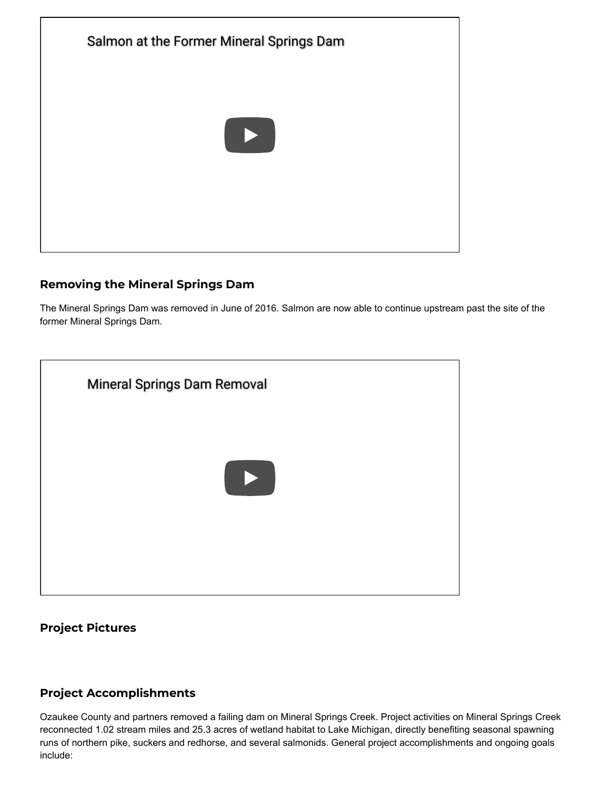

#### **Removing the Mineral Springs Dam**

The Mineral Springs Dam was removed in June of 2016. Salmon are now able to continue upstream past the site of the former Mineral Springs Dam.



## **Project Pictures**

#### **Project Accomplishments**

Ozaukee County and partners removed a failing dam on Mineral Springs Creek. Project activities on Mineral Springs Creek reconnected 1.02 stream miles and 25.3 acres of wetland habitat to Lake Michigan, directly benefiting seasonal spawning runs of northern pike, suckers and redhorse, and several salmonids. General project accomplishments and ongoing goals include: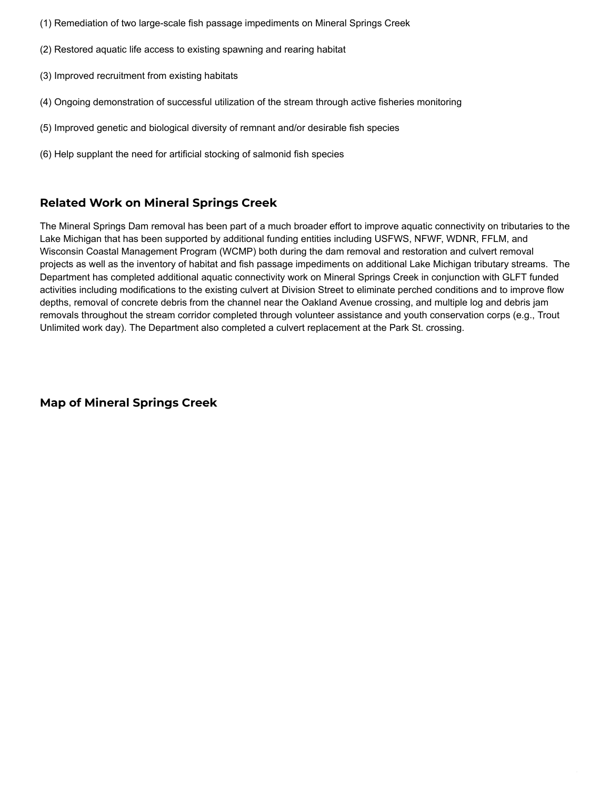- (1) Remediation of two large-scale fish passage impediments on Mineral Springs Creek
- (2) Restored aquatic life access to existing spawning and rearing habitat
- (3) Improved recruitment from existing habitats
- (4) Ongoing demonstration of successful utilization of the stream through active fisheries monitoring
- (5) Improved genetic and biological diversity of remnant and/or desirable fish species
- (6) Help supplant the need for artificial stocking of salmonid fish species

## **Related Work on Mineral Springs Creek**

The Mineral Springs Dam removal has been part of a much broader effort to improve aquatic connectivity on tributaries to the Lake Michigan that has been supported by additional funding entities including USFWS, NFWF, WDNR, FFLM, and Wisconsin Coastal Management Program (WCMP) both during the dam removal and restoration and culvert removal projects as well as the inventory of habitat and fish passage impediments on additional Lake Michigan tributary streams. The Department has completed additional aquatic connectivity work on Mineral Springs Creek in conjunction with GLFT funded activities including modifications to the existing culvert at Division Street to eliminate perched conditions and to improve flow depths, removal of concrete debris from the channel near the Oakland Avenue crossing, and multiple log and debris jam removals throughout the stream corridor completed through volunteer assistance and youth conservation corps (e.g., Trout Unlimited work day). The Department also completed a culvert replacement at the Park St. crossing.

**Map of Mineral Springs Creek**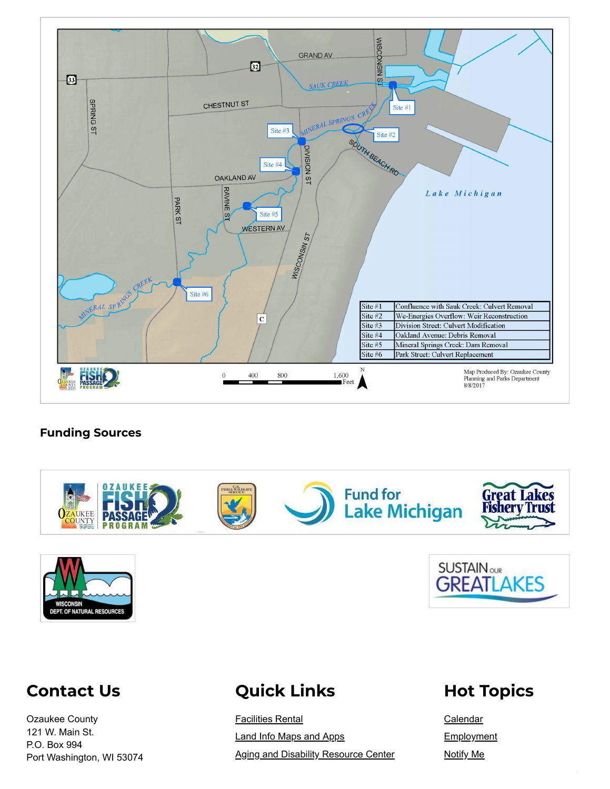

#### **Funding Sources**







# **Contact Us**

Ozaukee County 121 W. Main St. P.O. Box 994 Port Washington, WI 53074

# **[Quick](https://www.co.ozaukee.wi.us/QuickLinks.aspx?CID=43,) Links**

[Facilities](http://www.co.ozaukee.wi.us/1220/Facility-Rentals) Rental Land Info [Maps](https://ocgeohub-ozaukee.hub.arcgis.com/) and Apps Aging and Disability [Resource](https://www.co.ozaukee.wi.us/244/Aging-Disability-Resource-Center-ADRC) Center

# **Hot [Topics](https://www.co.ozaukee.wi.us/QuickLinks.aspx?CID=44,)**

[Calendar](https://www.co.ozaukee.wi.us/calendar.aspx) **[Employment](https://newton.newtonsoftware.com/career/CareerHome.action?clientId=8a7883d06b7b7d2d016b8fe5df8e0803)** [Notify](https://www.co.ozaukee.wi.us/list.aspx) Me